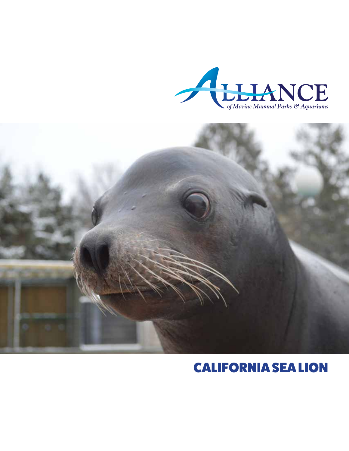



# CALIFORNIA SEA LION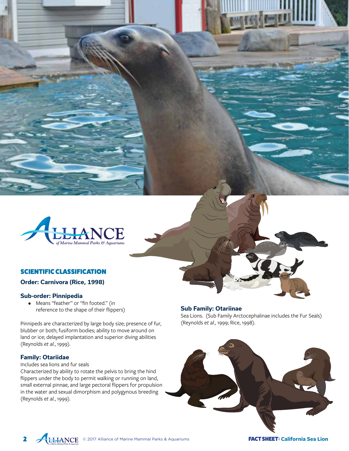

# SCIENTIFIC CLASSIFICATION

# **Order: Carnivora (Rice, 1998)**

# **Sub-order: Pinnipedia**

• Means "feather" or "fin footed." (in reference to the shape of their flippers)

Pinnipeds are characterized by large body size; presence of fur, blubber or both; fusiform bodies; ability to move around on land or ice; delayed implantation and superior diving abilities (Reynolds *et al.*, 1999).

# **Family: Otariidae**

2

Includes sea lions and fur seals

Characterized by ability to rotate the pelvis to bring the hind flippers under the body to permit walking or running on land, small external pinnae, and large pectoral flippers for propulsion in the water and sexual dimorphism and polygynous breeding (Reynolds *et al.*, 1999).

**Sub Family: Otariinae**  Sea Lions. (Sub Family Arctocephalinae includes the Fur Seals) (Reynolds *et al.*, 1999; Rice, 1998).



© 2017 Alliance of Marine Mammal Parks & Aquariums FACT SHEET: **California Sea Lion**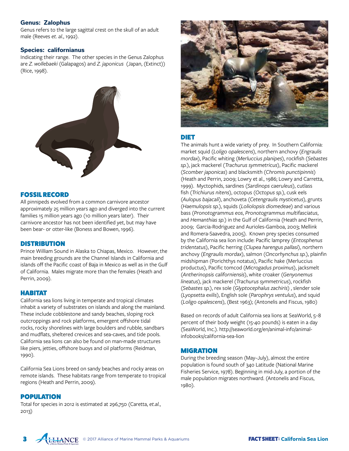# **Genus: Zalophus**

Genus refers to the large sagittal crest on the skull of an adult male (Reeves *et. al.*, 1992).

## **Species: californianus**

Indicating their range. The other species in the Genus Zalophus are *Z. wollebaeki* (Galapagos) and *Z. japonicus* (Japan, (Extinct)) (Rice, 1998).



# FOSSIL RECORD

All pinnipeds evolved from a common carnivore ancestor approximately 25 million years ago and diverged into the current families 15 million years ago (10 million years later). Their carnivore ancestor has not been identified yet, but may have been bear- or otter-like (Boness and Bowen, 1996).

# **DISTRIBUTION**

Prince William Sound in Alaska to Chiapas, Mexico. However, the main breeding grounds are the Channel Islands in California and islands off the Pacific coast of Baja in Mexico as well as in the Gulf of California. Males migrate more than the females (Heath and Perrin, 2009).

# HABITAT

California sea lions living in temperate and tropical climates inhabit a variety of substrates on islands and along the mainland. These include cobblestone and sandy beaches, sloping rock outcroppings and rock platforms, emergent offshore tidal rocks, rocky shorelines with large boulders and rubble, sandbars and mudflats, sheltered crevices and sea-caves, and tide pools. California sea lions can also be found on man-made structures like piers, jetties, offshore buoys and oil platforms (Reidman, 1990).

California Sea Lions breed on sandy beaches and rocky areas on remote islands. These habitats range from temperate to tropical regions (Heath and Perrin, 2009).

# POPULATION

Total for species in 2012 is estimated at 296,750 (Caretta, *et.al.*, 2013)



# DIET

The animals hunt a wide variety of prey. In Southern California: market squid (*Loligo opalescens*), northern anchovy (*Engraulis mordax*), Pacific whiting (*Merluccius planipes*), rockfish (*Sebastes sp.*), jack mackerel (*Trachurus symmetricus*), Pacific mackerel (*Scomber japonicas*) and blacksmith (*Chromis punctipinnis*) (Heath and Perrin, 2009; Lowry et al., 1986; Lowry and Carretta, 1999). Myctophids, sardines (*Sardinops caeruleus*), cutlass fish (*Trichiurus nitens*), octopus (*Octopus sp.*), cusk eels (*Aulopus bajacali*), anchoveta (*Cetengraulis mysticetus*), grunts (*Haemulopsis sp.*), squids (*Loliolopsis diomedeae*) and various bass (*Pronotogrammus eos*, *Pronotogrammus multifasciatus*, and *Hemanthias sp.*) in the Gulf of California (Heath and Perrin, 2009; Garcia-Rodriguez and Aurioles-Gamboa, 2003; Mellink and Romera-Saavedra, 2005). Known prey species consumed by the California sea lion include: Pacific lamprey (*Entosphenus tridentatus*), Pacific herring (*Clupea harengus pallasi*), northern anchovy (*Engraulis mordax*), salmon (*Oncorhynchus sp.*), plainfin midshipman (Porichthys notatus), Pacific hake (Merluccius productus), Pacific tomcod (*Microgadus proximus*), jacksmelt (*Antherinopsis californiensis*), white croaker (*Genyonemus lineatus*), jack mackerel (*Trachurus symmetricus*), rockfish (*Sebastes sp.*), rex sole (*Glyptocephalus zachiris*) , slender sole (*Lyopsetta exilis*), English sole (*Parophrys ventulus*), and squid (*Loligo opalescens*), (Best 1963); (Antonelis and Fiscus, 1980)

Based on records of adult California sea lions at SeaWorld, 5–8 percent of their body weight (15-40 pounds) is eaten in a day (SeaWorld, Inc.). http://seaworld.org/en/animal-info/animalinfobooks/california-sea-lion

# **MIGRATION**

During the breeding season (May–July), almost the entire population is found south of 34o Latitude (National Marine Fisheries Service, 1978). Beginning in mid-July, a portion of the male population migrates northward. (Antonelis and Fiscus, 1980).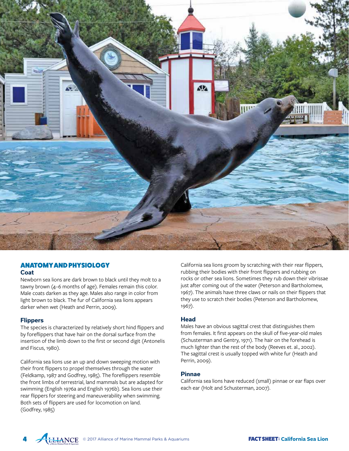

# ANATOMY AND PHYSIOLOGY **Coat**

Newborn sea lions are dark brown to black until they molt to a tawny brown (4–6 months of age). Females remain this color. Male coats darken as they age. Males also range in color from light brown to black. The fur of California sea lions appears darker when wet (Heath and Perrin, 2009).

## **Flippers**

4

The species is characterized by relatively short hind flippers and by foreflippers that have hair on the dorsal surface from the insertion of the limb down to the first or second digit (Antonelis and Fiscus, 1980).

California sea lions use an up and down sweeping motion with their front flippers to propel themselves through the water (Feldkamp, 1987 and Godfrey, 1985). The foreflippers resemble the front limbs of terrestrial, land mammals but are adapted for swimming (English 1976a and English 1976b). Sea lions use their rear flippers for steering and maneuverability when swimming. Both sets of flippers are used for locomotion on land. (Godfrey, 1985)

California sea lions groom by scratching with their rear flippers, rubbing their bodies with their front flippers and rubbing on rocks or other sea lions. Sometimes they rub down their vibrissae just after coming out of the water (Peterson and Bartholomew, 1967). The animals have three claws or nails on their flippers that they use to scratch their bodies (Peterson and Bartholomew, 1967).

## **Head**

Males have an obvious sagittal crest that distinguishes them from females. It first appears on the skull of five-year-old males (Schusterman and Gentry, 1971). The hair on the forehead is much lighter than the rest of the body (Reeves et. al., 2002). The sagittal crest is usually topped with white fur (Heath and Perrin, 2009).

## **Pinnae**

California sea lions have reduced (small) pinnae or ear flaps over each ear (Holt and Schusterman, 2007).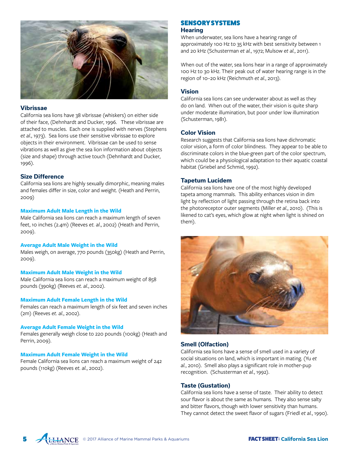

#### **Vibrissae**

California sea lions have 38 vibrissae (whiskers) on either side of their face, (Dehnhardt and Ducker, 1996. These vibrissae are attached to muscles. Each one is supplied with nerves (Stephens *et al*., 1973). Sea lions use their sensitive vibrissae to explore objects in their environment. Vibrissae can be used to sense vibrations as well as give the sea lion information about objects (size and shape) through active touch (Dehnhardt and Ducker, 1996).

#### **Size Difference**

California sea lions are highly sexually dimorphic, meaning males and females differ in size, color and weight. (Heath and Perrin, 2009)

#### **Maximum Adult Male Length in the Wild**

Male California sea lions can reach a maximum length of seven feet, 10 inches (2.4m) (Reeves *et. al*., 2002) (Heath and Perrin, 2009).

#### **Average Adult Male Weight in the Wild**

Males weigh, on average, 770 pounds (350kg) (Heath and Perrin, 2009).

#### **Maximum Adult Male Weight in the Wild**

Male California sea lions can reach a maximum weight of 858 pounds (390kg) (Reeves *et. al.*, 2002).

#### **Maximum Adult Female Length in the Wild**

Females can reach a maximum length of six feet and seven inches (2m) (Reeves *et. al.*, 2002).

#### **Average Adult Female Weight in the Wild**

Females generally weigh close to 220 pounds (100kg) (Heath and Perrin, 2009).

#### **Maximum Adult Female Weight in the Wild**

Female California sea lions can reach a maximum weight of 242 pounds (110kg) (Reeves *et. al.*, 2002).

#### SENSORY SYSTEMS **Hearing**

When underwater, sea lions have a hearing range of approximately 100 Hz to 35 kHz with best sensitivity between 1 and 20 kHz (Schusterman *et al.*, 1972; Mulsow *et al.*, 2011).

When out of the water, sea lions hear in a range of approximately 100 Hz to 30 kHz. Their peak out of water hearing range is in the region of 10–20 kHz (Reichmuth *et al.*, 2013).

#### **Vision**

California sea lions can see underwater about as well as they do on land. When out of the water, their vision is quite sharp under moderate illumination, but poor under low illumination (Schusterman, 1981).

## **Color Vision**

Research suggests that California sea lions have dichromatic color vision, a form of color blindness. They appear to be able to discriminate colors in the blue-green part of the color spectrum, which could be a physiological adaptation to their aquatic coastal habitat (Griebel and Schmid, 1992).

## **Tapetum Lucidem**

California sea lions have one of the most highly developed tapeta among mammals. This ability enhances vision in dim light by reflection of light passing through the retina back into the photoreceptor outer segments (Miller *et al.*, 2010). (This is likened to cat's eyes, which glow at night when light is shined on them).



## **Smell (Olfaction)**

California sea lions have a sense of smell used in a variety of social situations on land, which is important in mating. (Yu *et al.*, 2010). Smell also plays a significant role in mother-pup recognition. (Schusterman *et al.*, 1992).

## **Taste (Gustation)**

California sea lions have a sense of taste. Their ability to detect sour flavor is about the same as humans. They also sense salty and bitter flavors, though with lower sensitivity than humans. They cannot detect the sweet flavor of sugars (Friedl *et al.*, 1990).

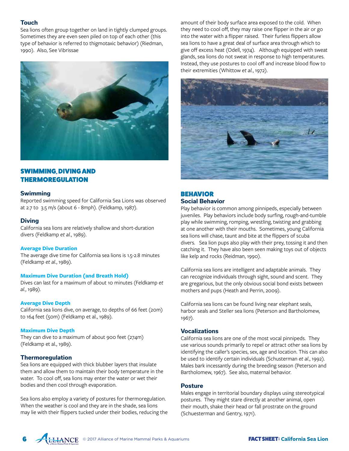## **Touch**

Sea lions often group together on land in tightly clumped groups. Sometimes they are even seen piled on top of each other (this type of behavior is referred to thigmotaxic behavior) (Riedman, 1990). Also, See Vibrissae



# SWIMMING, DIVING AND THERMOREGULATION

#### **Swimming**

Reported swimming speed for California Sea Lions was observed at 2.7 to 3.5 m/s (about 6 - 8mph). (Feldkamp, 1987).

#### **Diving**

California sea lions are relatively shallow and short-duration divers (Feldkamp *et al.*, 1989).

#### **Average Dive Duration**

The average dive time for California sea lions is 1.5-2.8 minutes (Feldkamp *et al.*, 1989).

#### **Maximum Dive Duration (and Breath Hold)**

Dives can last for a maximum of about 10 minutes (Feldkamp *et al.*, 1989).

#### **Average Dive Depth**

California sea lions dive, on average, to depths of 66 feet (20m) to 164 feet (50m) (Feldkamp et al., 1989).

#### **Maximum Dive Depth**

They can dive to a maximum of about 900 feet (274m) (Feldkamp et al., 1989).

## **Thermoregulation**

Sea lions are equipped with thick blubber layers that insulate them and allow them to maintain their body temperature in the water. To cool off, sea lions may enter the water or wet their bodies and then cool through evaporation.

Sea lions also employ a variety of postures for thermoregulation. When the weather is cool and they are in the shade, sea lions may lie with their flippers tucked under their bodies, reducing the amount of their body surface area exposed to the cold. When they need to cool off, they may raise one flipper in the air or go into the water with a flipper raised. Their furless flippers allow sea lions to have a great deal of surface area through which to give off excess heat (Odell, 1974). Although equipped with sweat glands, sea lions do not sweat in response to high temperatures. Instead, they use postures to cool off and increase blood flow to their extremities (Whittow *et al.*, 1972).



# BEHAVIOR **Social Behavior**

Play behavior is common among pinnipeds, especially between juveniles. Play behaviors include body surfing, rough-and-tumble play while swimming, romping, wrestling, twisting and grabbing at one another with their mouths. Sometimes, young California sea lions will chase, taunt and bite at the flippers of scuba divers. Sea lion pups also play with their prey, tossing it and then catching it. They have also been seen making toys out of objects like kelp and rocks (Reidman, 1990).

California sea lions are intelligent and adaptable animals. They can recognize individuals through sight, sound and scent. They are gregarious, but the only obvious social bond exists between mothers and pups (Heath and Perrin, 2009).

California sea lions can be found living near elephant seals, harbor seals and Steller sea lions (Peterson and Bartholomew, 1967).

#### **Vocalizations**

California sea lions are one of the most vocal pinnipeds. They use various sounds primarily to repel or attract other sea lions by identifying the caller's species, sex, age and location. This can also be used to identify certain individuals (Schusterman *et al*., 1992). Males bark incessantly during the breeding season (Peterson and Bartholomew, 1967). See also, maternal behavior.

#### **Posture**

Males engage in territorial boundary displays using stereotypical postures. They might stare directly at another animal, open their mouth, shake their head or fall prostrate on the ground (Schuesterman and Gentry, 1971).

**FACT SHEET: California Sea Lion FACT SHEET: California Sea Lion** 

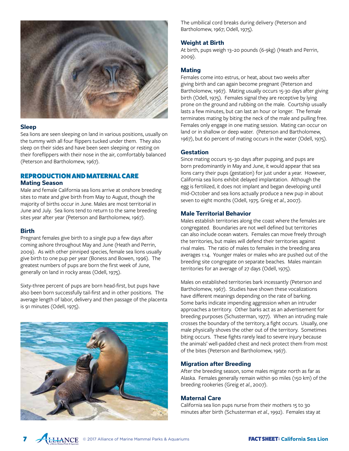

#### **Sleep**

Sea lions are seen sleeping on land in various positions, usually on the tummy with all four flippers tucked under them. They also sleep on their sides and have been seen sleeping or resting on their foreflippers with their nose in the air, comfortably balanced (Peterson and Bartholomew, 1967).

# REPRODUCTION AND MATERNAL CARE **Mating Season**

Male and female California sea lions arrive at onshore breeding sites to mate and give birth from May to August, though the majority of births occur in June. Males are most territorial in June and July. Sea lions tend to return to the same breeding sites year after year (Peterson and Bartholomew, 1967).

## **Birth**

Pregnant females give birth to a single pup a few days after coming ashore throughout May and June (Heath and Perrin, 2009). As with other pinniped species, female sea lions usually give birth to one pup per year (Boness and Bowen, 1996). The greatest numbers of pups are born the first week of June, generally on land in rocky areas (Odell, 1975).

Sixty-three percent of pups are born head-first, but pups have also been born successfully tail-first and in other positions. The average length of labor, delivery and then passage of the placenta is 91 minutes (Odell, 1975).



The umbilical cord breaks during delivery (Peterson and Bartholomew, 1967; Odell, 1975).

## **Weight at Birth**

At birth, pups weigh 13–20 pounds (6-9kg) (Heath and Perrin, 2009).

## **Mating**

Females come into estrus, or heat, about two weeks after giving birth and can again become pregnant (Peterson and Bartholomew, 1967). Mating usually occurs 15-30 days after giving birth (Odell, 1975). Females signal they are receptive by lying prone on the ground and rubbing on the male. Courtship usually lasts a few minutes, but can last an hour or longer. The female terminates mating by biting the neck of the male and pulling free. Females only engage in one mating session. Mating can occur on land or in shallow or deep water. (Peterson and Bartholomew, 1967), but 60 percent of mating occurs in the water (Odell, 1975).

## **Gestation**

Since mating occurs 15–30 days after pupping, and pups are born predominantly in May and June, it would appear that sea lions carry their pups (gestation) for just under a year. However, California sea lions exhibit delayed implantation. Although the egg is fertilized, it does not implant and began developing until mid-October and sea lions actually produce a new pup in about seven to eight months (Odell, 1975. Greig *et al.*, 2007).

## **Male Territorial Behavior**

Males establish territories along the coast where the females are congregated. Boundaries are not well defined but territories can also include ocean waters. Females can move freely through the territories, but males will defend their territories against rival males. The ratio of males to females in the breeding area averages 1:14. Younger males or males who are pushed out of the breeding site congregate on separate beaches. Males maintain territories for an average of 27 days (Odell, 1975).

Males on established territories bark incessantly (Peterson and Bartholomew, 1967). Studies have shown these vocalizations have different meanings depending on the rate of barking. Some barks indicate impending aggression when an intruder approaches a territory. Other barks act as an advertisement for breeding purposes (Schusterman, 1977). When an intruding male crosses the boundary of the territory, a fight occurs. Usually, one male physically shoves the other out of the territory. Sometimes biting occurs. These fights rarely lead to severe injury because the animals' well-padded chest and neck protect them from most of the bites (Peterson and Bartholomew, 1967).

## **Migration after Breeding**

After the breeding season, some males migrate north as far as Alaska. Females generally remain within 90 miles (150 km) of the breeding rookeries (Greig *et al.*, 2007).

## **Maternal Care**

California sea lion pups nurse from their mothers 15 to 30 minutes after birth (Schusterman *et al.*, 1992). Females stay at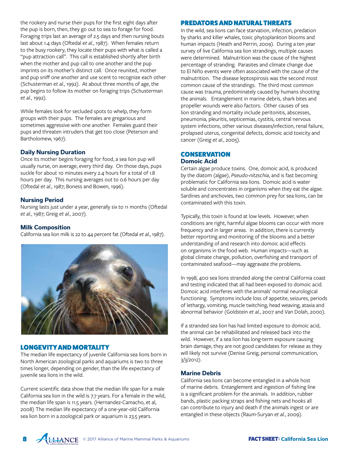the rookery and nurse their pups for the first eight days after the pup is born, then, they go out to sea to forage for food. Foraging trips last an average of 2.5 days and then nursing bouts last about 1.4 days (Oftedal *et al.*, 1987). When females return to the busy rookery, they locate their pups with what is called a "pup attraction call". This call is established shortly after birth when the mother and pup call to one another and the pup imprints on its mother's distinct call. Once reunited, mother and pup sniff one another and use scent to recognize each other (Schusterman *et al.*, 1992). At about three months of age, the pup begins to follow its mother on foraging trips (Schusterman *et al.*, 1992).

While females look for secluded spots to whelp, they form groups with their pups. The females are gregarious and sometimes aggressive with one another. Females guard their pups and threaten intruders that get too close (Peterson and Bartholomew, 1967).

# **Daily Nursing Duration**

Once its mother begins foraging for food, a sea lion pup will usually nurse, on average, every third day. On those days, pups suckle for about 10 minutes every 2.4 hours for a total of 1.8 hours per day. This nursing averages out to 0.6 hours per day (Oftedal *et al.*, 1987; Boness and Bowen, 1996).

#### **Nursing Period**

Nursing lasts just under a year, generally six to 11 months (Oftedal *et al.*, 1987; Greig *et al.*, 2007).

## **Milk Composition**

California sea lion milk is 22 to 44 percent fat (Oftedal *et al.*, 1987).



# LONGEVITY AND MORTALITY

The median life expectancy of juvenile California sea lions born in North American zoological parks and aquariums is two to three times longer, depending on gender, than the life expectancy of juvenile sea lions in the wild.

Current scientific data show that the median life span for a male California sea lion in the wild is 7.7 years. For a female in the wild, the median life span is 11.5 years. (Hernandez-Camacho, et al, 2008) The median life expectancy of a one-year-old California sea lion born in a zoological park or aquarium is 23.5 years.

## PREDATORS AND NATURAL THREATS

In the wild, sea lions can face starvation, infection, predation by sharks and killer whales, toxic phytoplankton blooms and human impacts (Heath and Perrin, 2009). During a ten year survey of live California sea lion strandings, multiple causes were determined. Malnutrition was the cause of the highest percentage of stranding. Parasites and climate change due to El Niño events were often associated with the cause of the malnutrition. The disease leptospirosis was the second most common cause of the strandings. The third most common cause was trauma, predominately caused by humans shooting the animals. Entanglement in marine debris, shark bites and propeller wounds were also factors. Other causes of sea lion stranding and mortality include peritonitis, abscesses, pneumonia, pleuritis, septicemias, cystitis, central nervous system infections, other various diseases/infection, renal failure, prolapsed uterus, congenital defects, domoic acid toxicity and cancer (Greig *et al.*, 2005).

## **CONSERVATION Domoic Acid**

Certain algae produce toxins. One, domoic acid, is produced by the diatom (algae), *Pseudo-nitzschia*, and is fast becoming problematic for California sea lions. Domoic acid is water soluble and concentrates in organisms when they eat the algae. Sardines and anchovies, two common prey for sea lions, can be contaminated with this toxin.

Typically, this toxin is found at low levels. However, when conditions are right, harmful algae blooms can occur with more frequency and in larger areas. In addition, there is currently better reporting and monitoring of the blooms and a better understanding of and research into domoic acid effects on organisms in the food web. Human impacts—such as global climate change, pollution, overfishing and transport of contaminated seafood—may aggravate the problems.

In 1998, 400 sea lions stranded along the central California coast and testing indicated that all had been exposed to domoic acid. Domoic acid interferes with the animals' normal neurological functioning. Symptoms include loss of appetite, seizures, periods of lethargy, vomiting, muscle twitching, head weaving, ataxia and abnormal behavior (Goldstein *et al.*, 2007 and Van Dolah, 2000).

If a stranded sea lion has had limited exposure to domoic acid, the animal can be rehabilitated and released back into the wild. However, if a sea lion has long-term exposure causing brain damage, they are not good candidates for release as they will likely not survive (Denise Greig, personal communication, 3/3/2012).

#### **Marine Debris**

California sea lions can become entangled in a whole host of marine debris. Entanglement and ingestion of fishing line is a significant problem for the animals. In addition, rubber bands, plastic packing straps and fishing nets and hooks all can contribute to injury and death if the animals ingest or are entangled in these objects (Raum-Suryan *et al.*, 2009).

**FACT SHEET: California Sea Lion FACT SHEET: California Sea Lion** 

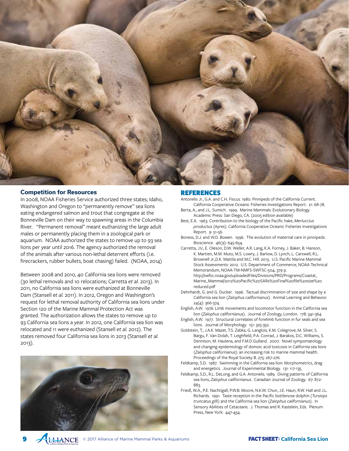

#### **Competition for Resources**

In 2008, NOAA Fisheries Service authorized three states; Idaho, Washington and Oregon to "permanently remove" sea lions eating endangered salmon and trout that congregate at the Bonneville Dam on their way to spawning areas in the Columbia River. "Permanent removal" meant euthanizing the large adult males or permanently placing them in a zoological park or aquarium. NOAA authorized the states to remove up to 93 sea lions per year until 2016. The agency authorized the removal of the animals after various non-lethal deterrent efforts (i.e. firecrackers, rubber bullets, boat chasing) failed. (NOAA, 2014)

Between 2008 and 2010, 40 California sea lions were removed (30 lethal removals and 10 relocations; Carretta *et al.* 2013). In 2011, no California sea lions were euthanized at Bonneville Dam (Stansell *et al.* 2011). In 2012, Oregon and Washington's request for lethal removal authority of California sea lions under Section 120 of the Marine Mammal Protection Act was granted. The authorization allows the states to remove up to 93 California sea lions a year. In 2012, one California sea lion was relocated and 11 were euthanized (Stansell *et al.* 2012). The states removed four California sea lions in 2013 (Stansell *et al.* 2013).



9

#### REFERENCES

Antonelis Jr., G.A. and C.H. Fiscus. 1980. Pinnipeds of the California Current. California Cooperative Oceanic Fisheries Investigations Report. 21: 68-78.

- Berta, A., and J.L. Sumich. 1999. Marine Mammals: Evolutionary Biology. Academic Press: San Diego, CA. (2005 edition available)
- Best, E.A. 1963. Contribution to the biology of the Pacific hake, *MerIuccius productus* (Ayres). California Cooperative Oceanic Fisheries Investigations .<br>Report. 9: 51-56.
- Boness, D.J. and W.D. Bowen. 1996. The evolution of maternal care in pinnipeds. Bioscience. 46(9): 645-654.
- Carretta, J.V., E. Oleson, D.W. Weller, A.R. Lang, K.A. Forney, J. Baker, B. Hanson, K. Martien, M.M. Muto, M.S. Lowry, J. Barlow, D. Lynch, L. Carswell, R.L. Brownell Jr.,D.K. Mattila and M.C. Hill. 2013. U.S. Pacific Marine Mammal Stock Assessments: 2012. U.S. Department of Commerce, NOAA Technical Memorandum, NOAA-TM-NMFS-SWFSC-504, 379 p. http://swfsc.noaa.gov/uploadedFiles/Divisions/PRD/Programs/Coastal\_ Marine\_Mammal/2012%20Pacific%20SARs%20Final%20file%20size%20 reduced.pdf
- Dehnhardt, G. and G. Ducker. 1996. Tactual discrimination of size and shape by a California sea lion (*Zalophus californianus*). Animal Learning and Behavior. 24(4): 366-374.
- English, A.W. 1976. Limb movements and locomotor function in the California sea lion (*Zalophus californianus*). Journal of Zoology, London. 178: 341-364.
- English, A.W. 1977. Structural correlates of forelimb function in fur seals and sea lions. Journal of Morphology. 151: 325-352.
- Goldstein, T., J.A.K. Mazet, T.S. Zabka, G. Langlois, K.M. Colegrove, M. Silver, S. Bargu, F. Van Dolah, T. Leighfield, P.A. Conrad, J. Barakos, D.C. Williams, S. Dennison, M. Haulena, and F.M.D Gulland. 2007. Novel sympomatology and changing epidemiology of domoic acid toxicosis in California sea lions (*Zalophus californianus*): an increasing risk to marine mammal health. Proceedings of the Royal Society B. 275: 267-276.
- Feldkamp, S.D. 1987. Swimming in the California sea lion: Morphometrics, drag and energetics. Journal of Experimental Biology. 131: 117-135.
- Feldkamp, S.D., R.L. DeLong, and G.A. Antonelis. 1989. Diving patterns of California sea lions, *Zalophus californianus*. Canadian Journal of Zoology. 67: 872- 883.
- Friedl, W.A., P.E. Nachtigall, P.W.B. Moore, N.K.W. Chun, J.E. Haun, R.W. Hall and J.L. Richards. 1991. Taste reception in the Pacific bottlenose dolphin (*Tursiops truncatus gilli*) and the California sea lion (*Zalophus californianus*). In Sensory Abilities of Cetaceans. J. Thomas and R. Kastelein, Eds. Plenum Press, New York: 447-454.

© 2017 Alliance of Marine Mammal Parks & Aquariums FACT SHEET: **California Sea Lion**